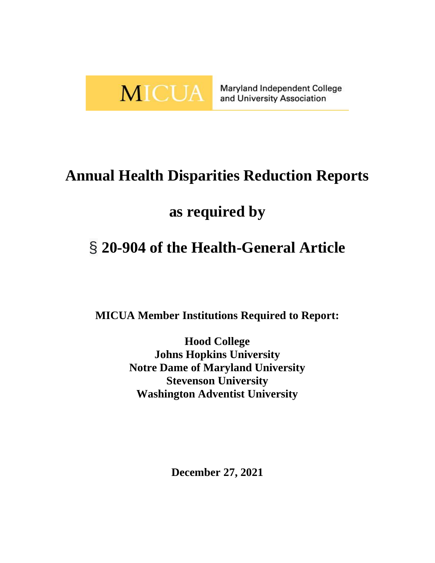

Maryland Independent College and University Association

# **Annual Health Disparities Reduction Reports**

# **as required by**

# § **20-904 of the Health-General Article**

**MICUA Member Institutions Required to Report:**

**Hood College Johns Hopkins University Notre Dame of Maryland University Stevenson University Washington Adventist University**

**December 27, 2021**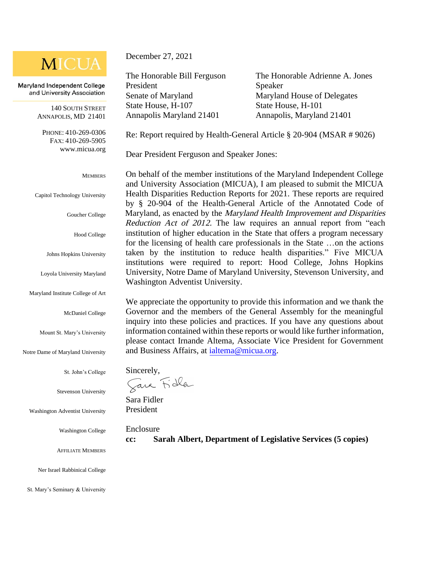## **MICUA**

Maryland Independent College and University Association

> 140 SOUTH STREET ANNAPOLIS, MD 21401

PHONE: 410-269-0306 FAX: 410-269-5905 [www.micua.org](http://www.micua.org/)

#### **MEMBERS**

Capitol Technology University

Goucher College

Hood College

Johns Hopkins University

Loyola University Maryland

Maryland Institute College of Art

McDaniel College

Mount St. Mary's University

Notre Dame of Maryland University

St. John's College

Stevenson University

Washington Adventist University

Washington College

AFFILIATE MEMBERS

Ner Israel Rabbinical College

St. Mary's Seminary & University

December 27, 2021

The Honorable Bill Ferguson President Senate of Maryland State House, H-107 Annapolis Maryland 21401 Annapolis, Maryland 21401

The Honorable Adrienne A. Jones Speaker Maryland House of Delegates State House, H-101

Re: Report required by Health-General Article § 20-904 (MSAR # 9026)

Dear President Ferguson and Speaker Jones:

On behalf of the member institutions of the Maryland Independent College and University Association (MICUA), I am pleased to submit the MICUA Health Disparities Reduction Reports for 2021. These reports are required by § 20-904 of the Health-General Article of the Annotated Code of Maryland, as enacted by the Maryland Health Improvement and Disparities Reduction Act of 2012. The law requires an annual report from "each institution of higher education in the State that offers a program necessary for the licensing of health care professionals in the State …on the actions taken by the institution to reduce health disparities." Five MICUA institutions were required to report: Hood College, Johns Hopkins University, Notre Dame of Maryland University, Stevenson University, and Washington Adventist University.

We appreciate the opportunity to provide this information and we thank the Governor and the members of the General Assembly for the meaningful inquiry into these policies and practices. If you have any questions about information contained within these reports or would like further information, please contact Irnande Altema, Associate Vice President for Government and Business Affairs, at [ialtema@micua.org.](mailto:ialtema@micua.org)

Sincerely,

Java Fidla

Sara Fidler President

Enclosure

**cc: Sarah Albert, Department of Legislative Services (5 copies)**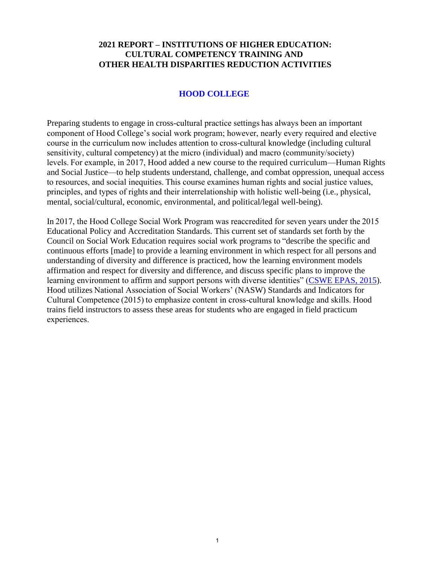#### **2021 REPORT – INSTITUTIONS OF HIGHER EDUCATION: CULTURAL COMPETENCY TRAINING AND OTHER HEALTH DISPARITIES REDUCTION ACTIVITIES**

### **HOOD COLLEGE**

Preparing students to engage in cross-cultural practice settings has always been an important component of Hood College's social work program; however, nearly every required and elective course in the curriculum now includes attention to cross-cultural knowledge (including cultural sensitivity, cultural competency) at the micro (individual) and macro (community/society) levels. For example, in 2017, Hood added a new course to the required curriculum—Human Rights and Social Justice—to help students understand, challenge, and combat oppression, unequal access to resources, and social inequities. This course examines human rights and social justice values, principles, and types of rights and their interrelationship with holistic well-being (i.e., physical, mental, social/cultural, economic, environmental, and political/legal well-being).

In 2017, the Hood College Social Work Program was reaccredited for seven years under the 2015 Educational Policy and Accreditation Standards. This current set of standards set forth by the Council on Social Work Education requires social work programs to "describe the specific and continuous efforts [made] to provide a learning environment in which respect for all persons and understanding of diversity and difference is practiced, how the learning environment models affirmation and respect for diversity and difference, and discuss specific plans to improve the learning environment to affirm and support persons with diverse identities" [\(CSWE EPAS, 2015\)](https://www.cswe.org/getattachment/Accreditation/Accreditation-Process/2015-EPAS/2015EPAS_Web_FINAL.pdf.aspx). Hood utilizes National Association of Social Workers' (NASW) Standards and Indicators for Cultural Competence (2015) to emphasize content in cross-cultural knowledge and skills. Hood trains field instructors to assess these areas for students who are engaged in field practicum experiences.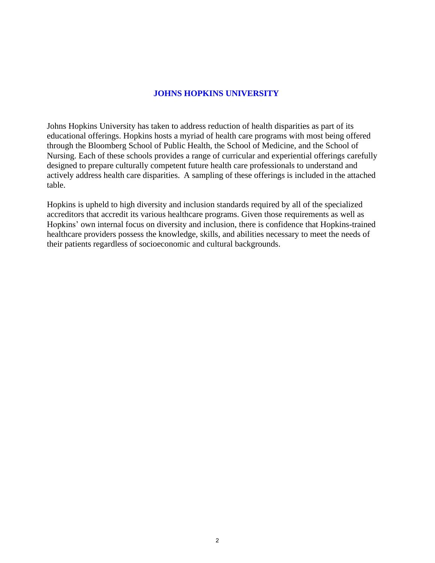#### **JOHNS HOPKINS UNIVERSITY**

Johns Hopkins University has taken to address reduction of health disparities as part of its educational offerings. Hopkins hosts a myriad of health care programs with most being offered through the Bloomberg School of Public Health, the School of Medicine, and the School of Nursing. Each of these schools provides a range of curricular and experiential offerings carefully designed to prepare culturally competent future health care professionals to understand and actively address health care disparities. A sampling of these offerings is included in the attached table.

Hopkins is upheld to high diversity and inclusion standards required by all of the specialized accreditors that accredit its various healthcare programs. Given those requirements as well as Hopkins' own internal focus on diversity and inclusion, there is confidence that Hopkins-trained healthcare providers possess the knowledge, skills, and abilities necessary to meet the needs of their patients regardless of socioeconomic and cultural backgrounds.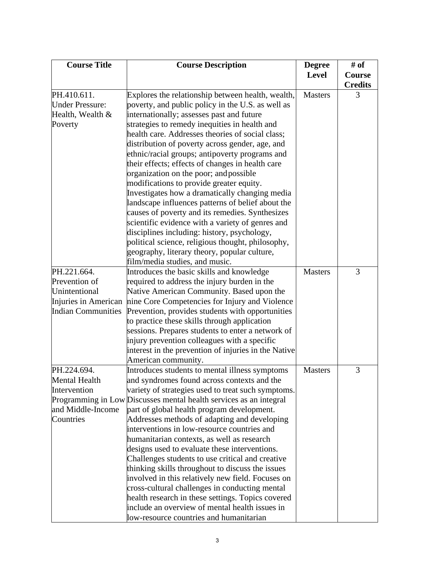| <b>Course Title</b>       | <b>Course Description</b>                                                                            | <b>Degree</b>  | # of           |
|---------------------------|------------------------------------------------------------------------------------------------------|----------------|----------------|
|                           |                                                                                                      | <b>Level</b>   | Course         |
|                           |                                                                                                      |                | <b>Credits</b> |
| PH.410.611.               | Explores the relationship between health, wealth,                                                    | <b>Masters</b> | 3              |
| <b>Under Pressure:</b>    | poverty, and public policy in the U.S. as well as                                                    |                |                |
| Health, Wealth &          | internationally; assesses past and future                                                            |                |                |
| Poverty                   | strategies to remedy inequities in health and                                                        |                |                |
|                           | health care. Addresses theories of social class;                                                     |                |                |
|                           | distribution of poverty across gender, age, and                                                      |                |                |
|                           | ethnic/racial groups; antipoverty programs and                                                       |                |                |
|                           | their effects; effects of changes in health care                                                     |                |                |
|                           | organization on the poor; and possible                                                               |                |                |
|                           | modifications to provide greater equity.                                                             |                |                |
|                           | Investigates how a dramatically changing media                                                       |                |                |
|                           | landscape influences patterns of belief about the<br>causes of poverty and its remedies. Synthesizes |                |                |
|                           | scientific evidence with a variety of genres and                                                     |                |                |
|                           | disciplines including: history, psychology,                                                          |                |                |
|                           | political science, religious thought, philosophy,                                                    |                |                |
|                           | geography, literary theory, popular culture,                                                         |                |                |
|                           | film/media studies, and music.                                                                       |                |                |
| PH.221.664.               | Introduces the basic skills and knowledge                                                            | <b>Masters</b> | 3              |
| Prevention of             | required to address the injury burden in the                                                         |                |                |
| Unintentional             | Native American Community. Based upon the                                                            |                |                |
| Injuries in American      | nine Core Competencies for Injury and Violence                                                       |                |                |
| <b>Indian Communities</b> | Prevention, provides students with opportunities                                                     |                |                |
|                           | to practice these skills through application                                                         |                |                |
|                           | sessions. Prepares students to enter a network of                                                    |                |                |
|                           | injury prevention colleagues with a specific                                                         |                |                |
|                           | interest in the prevention of injuries in the Native                                                 |                |                |
|                           | American community.                                                                                  |                |                |
| PH.224.694.               | Introduces students to mental illness symptoms                                                       | <b>Masters</b> | 3              |
| Mental Health             | and syndromes found across contexts and the                                                          |                |                |
| Intervention              | variety of strategies used to treat such symptoms.                                                   |                |                |
|                           | Programming in Low Discusses mental health services as an integral                                   |                |                |
| and Middle-Income         | part of global health program development.                                                           |                |                |
| Countries                 | Addresses methods of adapting and developing                                                         |                |                |
|                           | interventions in low-resource countries and                                                          |                |                |
|                           | humanitarian contexts, as well as research                                                           |                |                |
|                           | designs used to evaluate these interventions.                                                        |                |                |
|                           | Challenges students to use critical and creative                                                     |                |                |
|                           | thinking skills throughout to discuss the issues                                                     |                |                |
|                           | involved in this relatively new field. Focuses on                                                    |                |                |
|                           | cross-cultural challenges in conducting mental                                                       |                |                |
|                           | health research in these settings. Topics covered                                                    |                |                |
|                           | include an overview of mental health issues in                                                       |                |                |
|                           | low-resource countries and humanitarian                                                              |                |                |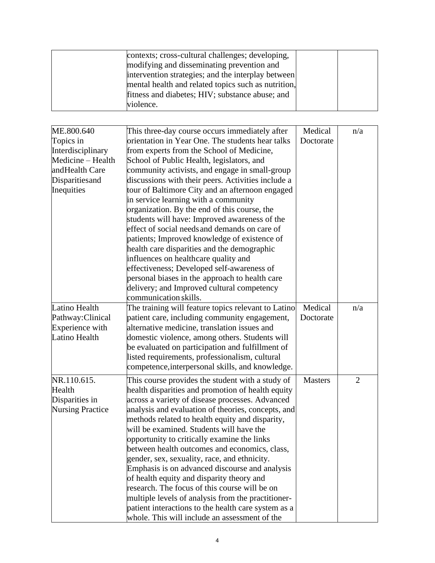| contexts; cross-cultural challenges; developing,    |  |
|-----------------------------------------------------|--|
| modifying and disseminating prevention and          |  |
| intervention strategies; and the interplay between  |  |
| mental health and related topics such as nutrition, |  |
| fitness and diabetes; HIV; substance abuse; and     |  |
| violence.                                           |  |

| ME.800.640              | This three-day course occurs immediately after      | Medical        | n/a            |
|-------------------------|-----------------------------------------------------|----------------|----------------|
| Topics in               | orientation in Year One. The students hear talks    | Doctorate      |                |
| Interdisciplinary       | from experts from the School of Medicine,           |                |                |
| Medicine - Health       | School of Public Health, legislators, and           |                |                |
| andHealth Care          | community activists, and engage in small-group      |                |                |
| Disparities and         | discussions with their peers. Activities include a  |                |                |
| Inequities              | tour of Baltimore City and an afternoon engaged     |                |                |
|                         | in service learning with a community                |                |                |
|                         | organization. By the end of this course, the        |                |                |
|                         | students will have: Improved awareness of the       |                |                |
|                         | effect of social needs and demands on care of       |                |                |
|                         | patients; Improved knowledge of existence of        |                |                |
|                         | health care disparities and the demographic         |                |                |
|                         | influences on healthcare quality and                |                |                |
|                         | effectiveness; Developed self-awareness of          |                |                |
|                         | personal biases in the approach to health care      |                |                |
|                         | delivery; and Improved cultural competency          |                |                |
|                         | communication skills.                               |                |                |
| Latino Health           | The training will feature topics relevant to Latino | Medical        | n/a            |
| Pathway: Clinical       | patient care, including community engagement,       | Doctorate      |                |
| Experience with         | alternative medicine, translation issues and        |                |                |
| Latino Health           | domestic violence, among others. Students will      |                |                |
|                         | be evaluated on participation and fulfillment of    |                |                |
|                         | listed requirements, professionalism, cultural      |                |                |
|                         | competence, interpersonal skills, and knowledge.    |                |                |
| NR.110.615.             | This course provides the student with a study of    | <b>Masters</b> | $\overline{2}$ |
| Health                  | health disparities and promotion of health equity   |                |                |
| Disparities in          | across a variety of disease processes. Advanced     |                |                |
| <b>Nursing Practice</b> | analysis and evaluation of theories, concepts, and  |                |                |
|                         | methods related to health equity and disparity,     |                |                |
|                         | will be examined. Students will have the            |                |                |
|                         | opportunity to critically examine the links         |                |                |
|                         | between health outcomes and economics, class,       |                |                |
|                         | gender, sex, sexuality, race, and ethnicity.        |                |                |
|                         | Emphasis is on advanced discourse and analysis      |                |                |
|                         | of health equity and disparity theory and           |                |                |
|                         | research. The focus of this course will be on       |                |                |
|                         | multiple levels of analysis from the practitioner-  |                |                |
|                         | patient interactions to the health care system as a |                |                |
|                         | whole. This will include an assessment of the       |                |                |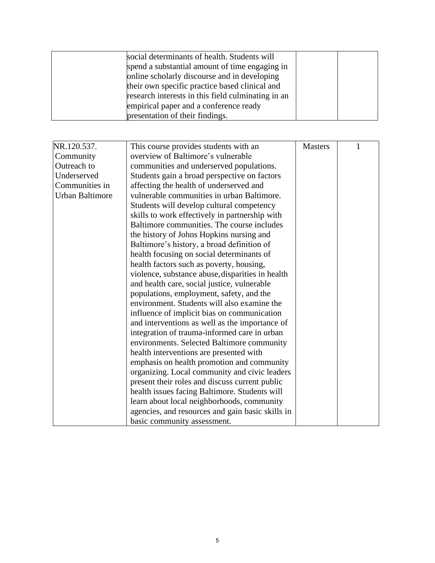| social determinants of health. Students will       |  |
|----------------------------------------------------|--|
| spend a substantial amount of time engaging in     |  |
| online scholarly discourse and in developing       |  |
| their own specific practice based clinical and     |  |
| research interests in this field culminating in an |  |
| empirical paper and a conference ready             |  |
| presentation of their findings.                    |  |

| NR.120.537.            | This course provides students with an            | <b>Masters</b> |  |
|------------------------|--------------------------------------------------|----------------|--|
| Community              | overview of Baltimore's vulnerable               |                |  |
| Outreach to            | communities and underserved populations.         |                |  |
| Underserved            | Students gain a broad perspective on factors     |                |  |
| Communities in         | affecting the health of underserved and          |                |  |
| <b>Urban Baltimore</b> | vulnerable communities in urban Baltimore.       |                |  |
|                        | Students will develop cultural competency        |                |  |
|                        | skills to work effectively in partnership with   |                |  |
|                        | Baltimore communities. The course includes       |                |  |
|                        | the history of Johns Hopkins nursing and         |                |  |
|                        | Baltimore's history, a broad definition of       |                |  |
|                        | health focusing on social determinants of        |                |  |
|                        | health factors such as poverty, housing,         |                |  |
|                        | violence, substance abuse, disparities in health |                |  |
|                        | and health care, social justice, vulnerable      |                |  |
|                        | populations, employment, safety, and the         |                |  |
|                        | environment. Students will also examine the      |                |  |
|                        | influence of implicit bias on communication      |                |  |
|                        | and interventions as well as the importance of   |                |  |
|                        | integration of trauma-informed care in urban     |                |  |
|                        | environments. Selected Baltimore community       |                |  |
|                        | health interventions are presented with          |                |  |
|                        | emphasis on health promotion and community       |                |  |
|                        | organizing. Local community and civic leaders    |                |  |
|                        | present their roles and discuss current public   |                |  |
|                        | health issues facing Baltimore. Students will    |                |  |
|                        | learn about local neighborhoods, community       |                |  |
|                        | agencies, and resources and gain basic skills in |                |  |
|                        | basic community assessment.                      |                |  |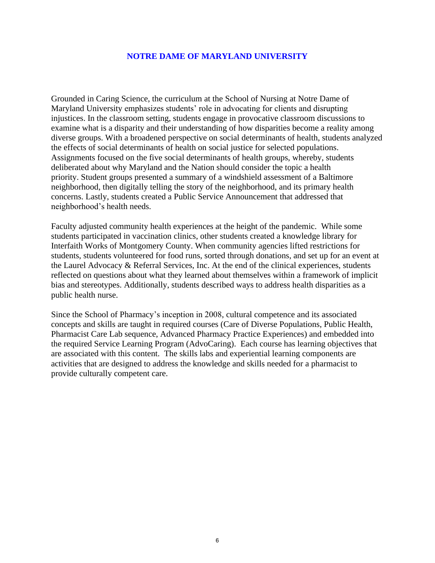#### **NOTRE DAME OF MARYLAND UNIVERSITY**

Grounded in Caring Science, the curriculum at the School of Nursing at Notre Dame of Maryland University emphasizes students' role in advocating for clients and disrupting injustices. In the classroom setting, students engage in provocative classroom discussions to examine what is a disparity and their understanding of how disparities become a reality among diverse groups. With a broadened perspective on social determinants of health, students analyzed the effects of social determinants of health on social justice for selected populations. Assignments focused on the five social determinants of health groups, whereby, students deliberated about why Maryland and the Nation should consider the topic a health priority. Student groups presented a summary of a windshield assessment of a Baltimore neighborhood, then digitally telling the story of the neighborhood, and its primary health concerns. Lastly, students created a Public Service Announcement that addressed that neighborhood's health needs.

Faculty adjusted community health experiences at the height of the pandemic. While some students participated in vaccination clinics, other students created a knowledge library for Interfaith Works of Montgomery County. When community agencies lifted restrictions for students, students volunteered for food runs, sorted through donations, and set up for an event at the Laurel Advocacy & Referral Services, Inc. At the end of the clinical experiences, students reflected on questions about what they learned about themselves within a framework of implicit bias and stereotypes. Additionally, students described ways to address health disparities as a public health nurse.

Since the School of Pharmacy's inception in 2008, cultural competence and its associated concepts and skills are taught in required courses (Care of Diverse Populations, Public Health, Pharmacist Care Lab sequence, Advanced Pharmacy Practice Experiences) and embedded into the required Service Learning Program (AdvoCaring). Each course has learning objectives that are associated with this content. The skills labs and experiential learning components are activities that are designed to address the knowledge and skills needed for a pharmacist to provide culturally competent care.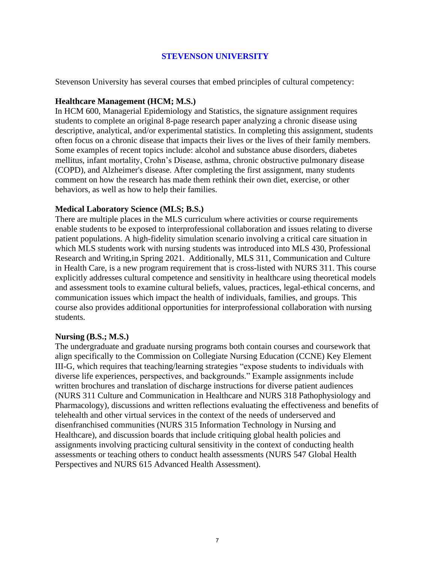#### **STEVENSON UNIVERSITY**

Stevenson University has several courses that embed principles of cultural competency:

#### **Healthcare Management (HCM; M.S.)**

In HCM 600, Managerial Epidemiology and Statistics, the signature assignment requires students to complete an original 8-page research paper analyzing a chronic disease using descriptive, analytical, and/or experimental statistics. In completing this assignment, students often focus on a chronic disease that impacts their lives or the lives of their family members. Some examples of recent topics include: alcohol and substance abuse disorders, diabetes mellitus, infant mortality, Crohn's Disease, asthma, chronic obstructive pulmonary disease (COPD), and Alzheimer's disease. After completing the first assignment, many students comment on how the research has made them rethink their own diet, exercise, or other behaviors, as well as how to help their families.

#### **Medical Laboratory Science (MLS; B.S.)**

There are multiple places in the MLS curriculum where activities or course requirements enable students to be exposed to interprofessional collaboration and issues relating to diverse patient populations. A high-fidelity simulation scenario involving a critical care situation in which MLS students work with nursing students was introduced into MLS 430, Professional Research and Writing,in Spring 2021. Additionally, MLS 311, Communication and Culture in Health Care, is a new program requirement that is cross-listed with NURS 311. This course explicitly addresses cultural competence and sensitivity in healthcare using theoretical models and assessment tools to examine cultural beliefs, values, practices, legal-ethical concerns, and communication issues which impact the health of individuals, families, and groups. This course also provides additional opportunities for interprofessional collaboration with nursing students.

#### **Nursing (B.S.; M.S.)**

The undergraduate and graduate nursing programs both contain courses and coursework that align specifically to the Commission on Collegiate Nursing Education (CCNE) Key Element III-G, which requires that teaching/learning strategies "expose students to individuals with diverse life experiences, perspectives, and backgrounds." Example assignments include written brochures and translation of discharge instructions for diverse patient audiences (NURS 311 Culture and Communication in Healthcare and NURS 318 Pathophysiology and Pharmacology), discussions and written reflections evaluating the effectiveness and benefits of telehealth and other virtual services in the context of the needs of underserved and disenfranchised communities (NURS 315 Information Technology in Nursing and Healthcare), and discussion boards that include critiquing global health policies and assignments involving practicing cultural sensitivity in the context of conducting health assessments or teaching others to conduct health assessments (NURS 547 Global Health Perspectives and NURS 615 Advanced Health Assessment).